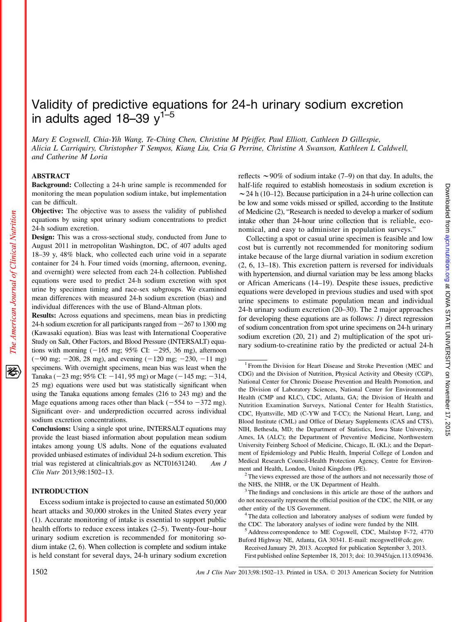# Validity of predictive equations for 24-h urinary sodium excretion in adults aged  $18-39$   $y^{1-5}$

Mary E Cogswell, Chia-Yih Wang, Te-Ching Chen, Christine M Pfeiffer, Paul Elliott, Cathleen D Gillespie, Alicia L Carriquiry, Christopher T Sempos, Kiang Liu, Cria G Perrine, Christine A Swanson, Kathleen L Caldwell, and Catherine M Loria

## ABSTRACT

The American Journal of Clinical Nutrition

移

Background: Collecting a 24-h urine sample is recommended for monitoring the mean population sodium intake, but implementation can be difficult.

Objective: The objective was to assess the validity of published equations by using spot urinary sodium concentrations to predict 24-h sodium excretion.

Design: This was a cross-sectional study, conducted from June to August 2011 in metropolitan Washington, DC, of 407 adults aged 18–39 y, 48% black, who collected each urine void in a separate container for 24 h. Four timed voids (morning, afternoon, evening, and overnight) were selected from each 24-h collection. Published equations were used to predict 24-h sodium excretion with spot urine by specimen timing and race-sex subgroups. We examined mean differences with measured 24-h sodium excretion (bias) and individual differences with the use of Bland-Altman plots.

Results: Across equations and specimens, mean bias in predicting 24-h sodium excretion for all participants ranged from  $-267$  to 1300 mg (Kawasaki equation). Bias was least with International Cooperative Study on Salt, Other Factors, and Blood Pressure (INTERSALT) equations with morning  $(-165 \text{ mg}; 95\% \text{ CI: } -295, 36 \text{ mg})$ , afternoon  $(-90 \text{ mg}; -208, 28 \text{ mg})$ , and evening  $(-120 \text{ mg}; -230, -11 \text{ mg})$ specimens. With overnight specimens, mean bias was least when the Tanaka ( $-23$  mg; 95% CI:  $-141$ , 95 mg) or Mage ( $-145$  mg;  $-314$ , 25 mg) equations were used but was statistically significant when using the Tanaka equations among females (216 to 243 mg) and the Mage equations among races other than black ( $-554$  to  $-372$  mg). Significant over- and underprediction occurred across individual sodium excretion concentrations.

Conclusions: Using a single spot urine, INTERSALT equations may provide the least biased information about population mean sodium intakes among young US adults. None of the equations evaluated provided unbiased estimates of individual 24-h sodium excretion. This trial was registered at clinicaltrials.gov as NCT01631240. Am J Clin Nutr 2013;98:1502–13.

#### INTRODUCTION

Excess sodium intake is projected to cause an estimated 50,000 heart attacks and 30,000 strokes in the United States every year (1). Accurate monitoring of intake is essential to support public health efforts to reduce excess intakes (2–5). Twenty-four–hour urinary sodium excretion is recommended for monitoring sodium intake (2, 6). When collection is complete and sodium intake is held constant for several days, 24-h urinary sodium excretion

reflects  $\sim$ 90% of sodium intake (7–9) on that day. In adults, the half-life required to establish homeostasis in sodium excretion is  $\sim$  24 h (10–12). Because participation in a 24-h urine collection can be low and some voids missed or spilled, according to the Institute of Medicine (2), "Research is needed to develop a marker of sodium intake other than 24-hour urine collection that is reliable, economical, and easy to administer in population surveys."

Collecting a spot or casual urine specimen is feasible and low cost but is currently not recommended for monitoring sodium intake because of the large diurnal variation in sodium excretion (2, 6, 13–18). This excretion pattern is reversed for individuals with hypertension, and diurnal variation may be less among blacks or African Americans (14–19). Despite these issues, predictive equations were developed in previous studies and used with spot urine specimens to estimate population mean and individual 24-h urinary sodium excretion (20–30). The 2 major approaches for developing these equations are as follows: 1) direct regression of sodium concentration from spot urine specimens on 24-h urinary sodium excretion (20, 21) and 2) multiplication of the spot urinary sodium-to-creatinine ratio by the predicted or actual 24-h

Received January 29, 2013. Accepted for publication September 3, 2013. First published online September 18, 2013; doi: 10.3945/ajcn.113.059436.

<sup>&</sup>lt;sup>1</sup> From the Division for Heart Disease and Stroke Prevention (MEC and CDG) and the Division of Nutrition, Physical Activity and Obesity (CGP), National Center for Chronic Disease Prevention and Health Promotion, and the Division of Laboratory Sciences, National Center for Environmental Health (CMP and KLC), CDC, Atlanta, GA; the Division of Health and Nutrition Examination Surveys, National Center for Health Statistics, CDC, Hyattsville, MD (C-YW and T-CC); the National Heart, Lung, and Blood Institute (CML) and Office of Dietary Supplements (CAS and CTS), NIH, Bethesda, MD; the Department of Statistics, Iowa State University, Ames, IA (ALC); the Department of Preventive Medicine, Northwestern University Feinberg School of Medicine, Chicago, IL (KL); and the Department of Epidemiology and Public Health, Imperial College of London and Medical Research Council-Health Protection Agency, Centre for Environment and Health, London, United Kingdom (PE).<br><sup>2</sup> The views expressed are those of the authors and not necessarily those of

the NHS, the NIHR, or the UK Department of Health.

<sup>&</sup>lt;sup>3</sup> The findings and conclusions in this article are those of the authors and do not necessarily represent the official position of the CDC, the NIH, or any other entity of the US Government. <sup>4</sup> The data collection and laboratory analyses of sodium were funded by

the CDC. The laboratory analyses of iodine were funded by the NIH.<br><sup>5</sup> Address correspondence to ME Cogswell, CDC, Mailstop F-72, 4770

Buford Highway NE, Atlanta, GA 30341. E-mail: mcogswell@cdc.gov.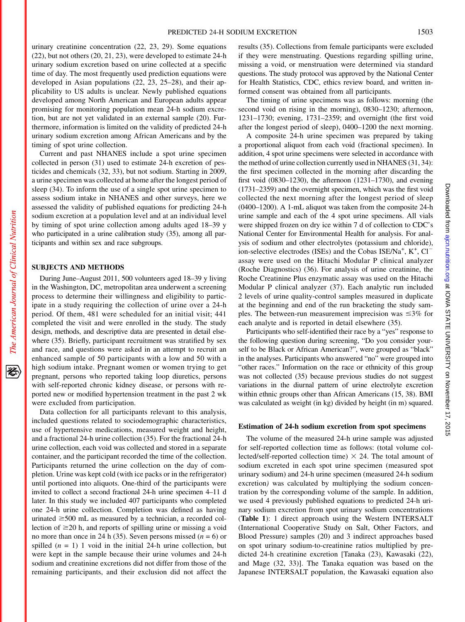urinary creatinine concentration (22, 23, 29). Some equations (22), but not others (20, 21, 23), were developed to estimate 24-h urinary sodium excretion based on urine collected at a specific time of day. The most frequently used prediction equations were developed in Asian populations (22, 23, 25–28), and their applicability to US adults is unclear. Newly published equations developed among North American and European adults appear promising for monitoring population mean 24-h sodium excretion, but are not yet validated in an external sample (20). Furthermore, information is limited on the validity of predicted 24-h urinary sodium excretion among African Americans and by the timing of spot urine collection.

Current and past NHANES include a spot urine specimen collected in person (31) used to estimate 24-h excretion of pesticides and chemicals (32, 33), but not sodium. Starting in 2009, a urine specimen was collected at home after the longest period of sleep (34). To inform the use of a single spot urine specimen to assess sodium intake in NHANES and other surveys, here we assessed the validity of published equations for predicting 24-h sodium excretion at a population level and at an individual level by timing of spot urine collection among adults aged 18–39 y who participated in a urine calibration study (35), among all participants and within sex and race subgroups.

#### SUBJECTS AND METHODS

During June–August 2011, 500 volunteers aged 18–39 y living in the Washington, DC, metropolitan area underwent a screening process to determine their willingness and eligibility to participate in a study requiring the collection of urine over a 24-h period. Of them, 481 were scheduled for an initial visit; 441 completed the visit and were enrolled in the study. The study design, methods, and descriptive data are presented in detail elsewhere (35). Briefly, participant recruitment was stratified by sex and race, and questions were asked in an attempt to recruit an enhanced sample of 50 participants with a low and 50 with a high sodium intake. Pregnant women or women trying to get pregnant, persons who reported taking loop diuretics, persons with self-reported chronic kidney disease, or persons with reported new or modified hypertension treatment in the past 2 wk were excluded from participation.

Data collection for all participants relevant to this analysis, included questions related to sociodemographic characteristics, use of hypertensive medications, measured weight and height, and a fractional 24-h urine collection (35). For the fractional 24-h urine collection, each void was collected and stored in a separate container, and the participant recorded the time of the collection. Participants returned the urine collection on the day of completion. Urine was kept cold (with ice packs or in the refrigerator) until portioned into aliquots. One-third of the participants were invited to collect a second fractional 24-h urine specimen 4–11 d later. In this study we included 407 participants who completed one 24-h urine collection. Completion was defined as having urinated  $\geq$ 500 mL as measured by a technician, a recorded collection of  $\geq$ 20 h, and reports of spilling urine or missing a void no more than once in 24 h (35). Seven persons missed ( $n = 6$ ) or spilled  $(n = 1)$  1 void in the initial 24-h urine collection, but were kept in the sample because their urine volumes and 24-h sodium and creatinine excretions did not differ from those of the remaining participants, and their exclusion did not affect the

results (35). Collections from female participants were excluded if they were menstruating. Questions regarding spilling urine, missing a void, or menstruation were determined via standard questions. The study protocol was approved by the National Center for Health Statistics, CDC, ethics review board, and written informed consent was obtained from all participants.

The timing of urine specimens was as follows: morning (the second void on rising in the morning), 0830–1230; afternoon, 1231–1730; evening, 1731–2359; and overnight (the first void after the longest period of sleep), 0400–1200 the next morning.

A composite 24-h urine specimen was prepared by taking a proportional aliquot from each void (fractional specimen). In addition, 4 spot urine specimens were selected in accordance with the method of urine collection currently used in NHANES (31, 34): the first specimen collected in the morning after discarding the first void (0830–1230), the afternoon (1231–1730), and evening (1731–2359) and the overnight specimen, which was the first void collected the next morning after the longest period of sleep (0400–1200). A 1-mL aliquot was taken from the composite 24-h urine sample and each of the 4 spot urine specimens. All vials were shipped frozen on dry ice within 7 d of collection to CDC's National Center for Environmental Health for analysis. For analysis of sodium and other electrolytes (potassium and chloride), ion-selective electrodes (ISEs) and the Cobas ISE/Na<sup>+</sup>,  $K^+$ , Cl<sup>-</sup> assay were used on the Hitachi Modular P clinical analyzer (Roche Diagnostics) (36). For analysis of urine creatinine, the Roche Creatinine Plus enzymatic assay was used on the Hitachi Modular P clinical analyzer (37). Each analytic run included 2 levels of urine quality-control samples measured in duplicate at the beginning and end of the run bracketing the study samples. The between-run measurement imprecision was  $\leq 3\%$  for each analyte and is reported in detail elsewhere (35).

Participants who self-identified their race by a "yes" response to the following question during screening, "Do you consider yourself to be Black or African American?", were grouped as "black" in the analyses. Participants who answered "no" were grouped into "other races." Information on the race or ethnicity of this group was not collected (35) because previous studies do not suggest variations in the diurnal pattern of urine electrolyte excretion within ethnic groups other than African Americans (15, 38). BMI was calculated as weight (in kg) divided by height (in m) squared.

#### Estimation of 24-h sodium excretion from spot specimens

The volume of the measured 24-h urine sample was adjusted for self-reported collection time as follows: (total volume collected/self-reported collection time)  $\times$  24. The total amount of sodium excreted in each spot urine specimen (measured spot urinary sodium) and 24-h urine specimen (measured 24-h sodium excretion) was calculated by multiplying the sodium concentration by the corresponding volume of the sample. In addition, we used 4 previously published equations to predicted 24-h urinary sodium excretion from spot urinary sodium concentrations (Table 1): 1 direct approach using the Western INTERSALT (International Cooperative Study on Salt, Other Factors, and Blood Pressure) samples (20) and 3 indirect approaches based on spot urinary sodium-to-creatinine ratios multiplied by predicted 24-h creatinine excretion [Tanaka (23), Kawasaki (22), and Mage (32, 33)]. The Tanaka equation was based on the Japanese INTERSALT population, the Kawasaki equation also

资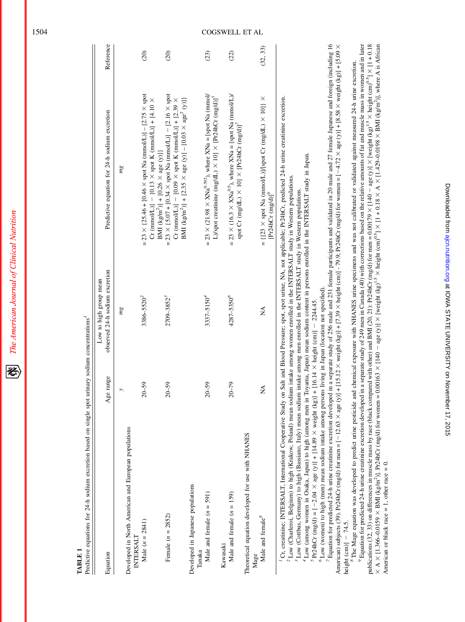The American Journal of Clinical Nutrition 经

> TABLE<sub>1</sub> TABLE 1

| I                        |
|--------------------------|
|                          |
| $\ddot{\phantom{a}}$     |
|                          |
|                          |
|                          |
| l                        |
|                          |
|                          |
|                          |
|                          |
|                          |
|                          |
|                          |
|                          |
|                          |
|                          |
| $\overline{\phantom{a}}$ |
|                          |
| Case Case Case           |
|                          |
|                          |
|                          |
|                          |
|                          |
| i                        |
|                          |
| l                        |
|                          |
| i                        |
|                          |
|                          |
|                          |
|                          |
| ï                        |
| ֦֧֚֝֬                    |
|                          |
| ı                        |
|                          |
|                          |
|                          |
| ׇ֚֘֝֡                    |
|                          |
| $\overline{a}$<br>i      |
|                          |
| ¢                        |
| $\ddot{\phantom{0}}$     |
|                          |
|                          |
|                          |
|                          |
| Ě                        |
|                          |

| Equation                                                          | Age range | observed 24-h sodium excretion<br>Low to high group mean | Predictive equation for 24-h sodium excretion                                                                                                                                                                                                                                  | Reference     |
|-------------------------------------------------------------------|-----------|----------------------------------------------------------|--------------------------------------------------------------------------------------------------------------------------------------------------------------------------------------------------------------------------------------------------------------------------------|---------------|
| Developed in North American and European populations<br>INTERSALT |           | mg                                                       | mg                                                                                                                                                                                                                                                                             |               |
| Male $(n = 2841)$                                                 | $20 - 59$ | 3386-5520 <sup>2</sup>                                   | = 23 × (25.46 + [0.46 × spot Na (mmol/L)] – [2.75 × spot<br>Cr (mmol/L)] – [0.13 $\times$ spot K (mmol/L)] + [4.10 $\times$                                                                                                                                                    | $\widehat{c}$ |
| Female $(n = 2852)$                                               | $20 - 59$ | 2709-3852 <sup>3</sup>                                   | = $23 \times \{5.07 + [0.34 \times spot Na (mmol/L)] - [2.16 \times spot$<br>BMI (kg/m <sup>2</sup> )] + [2.35 × age (y)] - [0.03 × age <sup>2</sup> (y)]}<br>Cr (mmol/L)] – [0.09 $\times$ spot K (mmol/L)] + [2.39 $\times$<br>BMI (kg/m <sup>2</sup> )] + [0.26 × age (y)]} | (20)          |
| Developed in Japanese populations<br>Tanaka                       |           |                                                          |                                                                                                                                                                                                                                                                                |               |
| Male and female $(n = 591)$                                       | $20 - 59$ | $3337 - 5150^{4}$                                        | = 23 × (21.98 × XNa <sup>0.392</sup> ), where XNa = [spot Na (mmol/<br>L)/spot creatinine (mg/dL) $\times$ 10] $\times$ [Pr24hCr (mg/d)] <sup>5</sup>                                                                                                                          | (23)          |
| Male and female $(n = 159)$<br>Kawasaki                           | $20 - 79$ | 4287-5350°                                               | = 23 × (16.3 × XNa <sup>0.5</sup> ), where XNa = [spot Na (mmol/L)/<br>spot Cr (mg/dL) $\times$ 10] $\times$ [Pr24hCr (mg/d)] <sup>7</sup>                                                                                                                                     | (22)          |
| Theoretical equation developed for use with NHANES<br>Mage        |           |                                                          |                                                                                                                                                                                                                                                                                |               |
| Male and female <sup>8</sup>                                      | Ź         | ≸                                                        | = $\{[23 \times spot]$ Ma (mmol/L)]/[spot Cr (mg/dL) $\times$ 10]} $\times$<br>$[Pr24hCr(mg/d)]^{9}$                                                                                                                                                                           | (32, 33)      |
|                                                                   |           |                                                          |                                                                                                                                                                                                                                                                                |               |

Cr, creatinine; INTERSALT, International Cooperative Study on Salt and Blood Pressure; spot, spot urine; NA, not applicable; Pr24hCr, predicted 24-h urine creatinine excretion. 1Cr, creatinine; INTERSALT, International Cooperative Study on Salt and Blood Pressure; spot, spot urine; NA, not applicable; Pr24hCr, predicted 24-h urine creatinine excretion.

<sup>2</sup>Low (Charleroi, Belgium) to high (Krakow, Poland) mean sodium intake among women enrolled in the INTERSALT study in Western populations. Low (Charleroi, Belgium) to high (Krakow, Poland) mean sodium intake among women enrolled in the INTERSALT study in Western populations. Low (Cottbus, Germany) to high (Bassiano, Italy) mean sodium intake among men enrolled in the INTERSALT study in Western populations.

 Low (Cottbus, Germany) to high (Bassiano, Italy) mean sodium intake among men enrolled in the INTERSALT study in Western populations. Low (among women in Osaka, Japan) to high (among men in Toyama, Japan) mean sodium content in persons enrolled in the INTERSALT study in Japan. Low (among women in Osaka, Japan) to high (among men in Toyama, Japan) mean sodium content in persons enrolled in the INTERSALT study in Japan.

 $5$ Pr24hCr (mg/d) = [-2.04 × age (y)] + [14.89 × weight (kg)] + [16.14 × height (cm)] - 2244.45.  $P_{224hCr}$ Cr (mg/d) = [-12.04  $\times$  age (y)] + [14.89  $\times$  weight (kg)] + [14.8] + [14.8] + [14.8] height (cm)] - 2244.45.

 ${}^6$ Low (women) to high (men) mean sodium intake among persons living in Japan (location not specified). Low (women) to high (men) mean sodium intake among persons living in Japan (location not specified).

Equation for predicted 24-h urine creatinine excretion developed in a separate study of 256 male and 231 female participants and validated in 20 male and 27 female Japanese and foreign (including 16 American) subjects (39). Pr24hCr (mg/d) for men = [-12.63 × age (y)] + [15.12 × weight (kg)] + [7.39 × height (cm)] - r9.9; Pr24hCr (mg/d) for women = [-4.72 × age (y)] + [8.58 × weight (kg)] + [5.09 × Equation for predicted 24-h urine creatinine excretion developed in a separate study of 256 male and 231 female participants and validated in 20 male and 27 female Japanese and foreign (including 16 American) subjects (39). Pr24hCr (mg/d) for men = [-12.63  $\times$  age (y)] + [15.12  $\times$  weight (kg)] + [7.39  $\times$  height (cm)] - 79.9; Pr24hCr (mg/d) for women = [-4.72  $\times$  age (y)] + [8.58  $\times$  weight (kg)] + [5.09  $\times$ height  $(cm)$ ] - 74.5. height  $(cm)$ ]  $-$  74.5.

publications (32, 33) on differences in muscle mass by race (black compared with other) and BMI (20, 21): Pr24hCr (mg/d) for men = 0.00179 × [140 - age (y)] × [weight (kg)<sup>1,5</sup> × height (cm)<sup>0,5</sup>] × [1 + 0.18  $\times$  A  $\times$  [1.366-0.0159  $\times$  BMI (kg/m<sup>2</sup>)]. Pr24hCr (mg/d) for women = 0.00163  $\times$  [140 - age (y)]  $\times$  [weight (kg)<sup>15</sup>  $\times$  height (cm)<sup>0-5</sup>]  $\times$  [1.40 ki qub (cm)<sup>0-5</sup>]  $\times$  [1.41 + 0.18  $\times$  A  $\times$  [1.429-0.0198  $9$  Equation for predicted 24-h urine creatinine excretion developed in a separate study of 249 men in Canada (40) with corrections based on the relative amounts of fat and muscle mass in women and in later  $v$  Equation for predicted 24-h urine excretion developed in a separate study of 249 men in Canada (40) with corrections based on the relative amounts of fat and muscle mass in women and in later publications (32, 33) on differences in muscle mass by race (black compared with other) and BMI (20, 21): Pr24hCr (mg/d) for men = 0.00179 × [140 - age (y)] × [weight (kg)<sup>1.5</sup> × [1 + 0.18 = 0.18] > [1 + 0.18]  $X \times A \times [1.366-0.0159 \times BMI$  (kg/m<sup>2</sup>)]. Pr24hCr (mg/d) for women = 0.00163  $\times$  [140 - age (y)]  $\times$  [weight (kg)<sup>1.5</sup>  $\times$  height (cm)<sup>0.13</sup>  $\times$  height (cm)<sup>0.5</sup>]  $\times$  [1.429–0.0198  $\times$  BMI (kg/m<sup>2</sup>)], where A is African <sup>8</sup>The Mage equation was developed to predict urine pesticide and chemical exposure with NHANES urine specimens and was not calibrated or validated against measured 24-h urine excretion. The Mage equation was developed to predict urine pesticide and chemical exposure with NHANES urine specimens and was not calibrated or validated against measured 24-h urine excretion.

American or black race  $= 1$ , other race  $= 0$ .

American or black race = 1, other race = 0.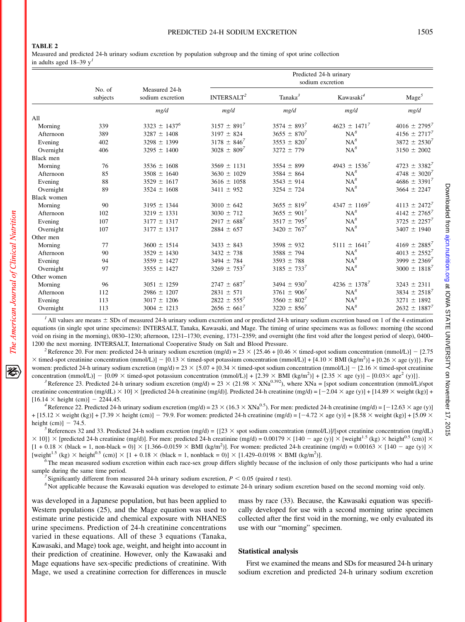## PREDICTED 24-H SODIUM EXCRETION 1505

### TABLE 2

Measured and predicted 24-h urinary sodium excretion by population subgroup and the timing of spot urine collection in adults aged 18–39  $y<sup>1</sup>$ 

|                    |     |                                   | Predicted 24-h urinary<br>sodium excretion |                     |                       |                   |  |
|--------------------|-----|-----------------------------------|--------------------------------------------|---------------------|-----------------------|-------------------|--|
| No. of<br>subjects |     | Measured 24-h<br>sodium excretion | INTERSALT <sup>2</sup>                     | Tanaka <sup>3</sup> | Kawasaki <sup>4</sup> | $\text{Mage}^5$   |  |
|                    |     | mg/d                              | mg/d                                       | mg/d                | mg/d                  | mg/d              |  |
| All                |     |                                   |                                            |                     |                       |                   |  |
| Morning            | 339 | $3323 \pm 1437^6$                 | $3157 \pm 891^7$                           | $3574 \pm 893^7$    | $4623 \pm 1471^7$     | $4016 \pm 2795^7$ |  |
| Afternoon          | 389 | $3287 \pm 1408$                   | $3197 \pm 824$                             | $3655 \pm 870^7$    | $NA^8$                | $4156 \pm 2717^7$ |  |
| Evening            | 402 | $3298 \pm 1399$                   | $3178 \pm 846^7$                           | $3553 \pm 820^7$    | $NA^8$                | $3872 \pm 2530^7$ |  |
| Overnight          | 406 | $3295 \pm 1400$                   | $3028 \pm 809^7$                           | $3272 \pm 779$      | $NA^8$                | $3150 \pm 2002$   |  |
| Black men          |     |                                   |                                            |                     |                       |                   |  |
| Morning            | 76  | $3536 \pm 1608$                   | $3569 \pm 1131$                            | $3554 \pm 899$      | $4943 \pm 1536^7$     | $4723 \pm 3382^7$ |  |
| Afternoon          | 85  | $3508 \pm 1640$                   | $3630 \pm 1029$                            | $3584 \pm 864$      | $NA^8$                | $4748 \pm 3020^7$ |  |
| Evening            | 88  | $3529 \pm 1617$                   | $3616 \pm 1058$                            | $3543 \pm 914$      | $NA^8$                | $4686 \pm 3391^7$ |  |
| Overnight          | 89  | $3524 \pm 1608$                   | $3411 \pm 952$                             | $3254 \pm 724$      | $NA^8$                | $3664 \pm 2247$   |  |
| <b>Black women</b> |     |                                   |                                            |                     |                       |                   |  |
| Morning            | 90  | $3195 \pm 1344$                   | $3010 \pm 642$                             | $3655 \pm 819^7$    | $4347 \pm 1169^7$     | $4113 \pm 2472^7$ |  |
| Afternoon          | 102 | $3219 \pm 1331$                   | $3030 \pm 712$                             | $3655 \pm 901^7$    | $NA^8$                | $4142 \pm 2765^7$ |  |
| Evening            | 107 | $3177 \pm 1317$                   | $2917 \pm 688^7$                           | $3517 \pm 795^7$    | $NA^8$                | $3725 \pm 2257^7$ |  |
| Overnight          | 107 | $3177 \pm 1317$                   | $2884 \pm 657$                             | $3420 \pm 767^7$    | $NA^8$                | $3407 \pm 1940$   |  |
| Other men          |     |                                   |                                            |                     |                       |                   |  |
| Morning            | 77  | $3600 \pm 1514$                   | $3433 \pm 843$                             | $3598 \pm 932$      | $5111 \pm 1641^7$     | $4169 \pm 2885^7$ |  |
| Afternoon          | 90  | $3529 \pm 1430$                   | $3432 \pm 738$                             | $3588 \pm 794$      | $NA^8$                | $4013 \pm 2552^7$ |  |
| Evening            | 94  | $3559 \pm 1427$                   | $3494 \pm 784$                             | $3593 \pm 788$      | $NA^8$                | 3999 $\pm 2369^7$ |  |
| Overnight          | 97  | $3555 \pm 1427$                   | $3269 \pm 753^7$                           | $3185 \pm 733^7$    | $NA^8$                | $3000 \pm 1818^7$ |  |
| Other women        |     |                                   |                                            |                     |                       |                   |  |
| Morning            | 96  | $3051 \pm 1259$                   | $2747 \pm 687^7$                           | $3494 \pm 930^7$    | $4236 \pm 1378^7$     | $3243 \pm 2311$   |  |
| Afternoon          | 112 | $2986 \pm 1207$                   | $2831 \pm 571$                             | $3761 \pm 906^7$    | $NA^8$                | $3834 \pm 2518^7$ |  |
| Evening            | 113 | $3017 \pm 1206$                   | $2822 \pm 555^7$                           | $3560 \pm 802^7$    | $NA^8$                | $3271 \pm 1892$   |  |
| Overnight          | 113 | $3004 \pm 1213$                   | $2656 \pm 661^7$                           | $3220 \pm 856^7$    | $NA^8$                | $2632 \pm 1887^7$ |  |

<sup>1</sup> All values are means  $\pm$  SDs of measured 24-h urinary sodium excretion and or predicted 24-h urinary sodium excretion based on 1 of the 4 estimation equations (in single spot urine specimens): INTERSALT, Tanaka, Kawasaki, and Mage. The timing of urine specimens was as follows: morning (the second void on rising in the morning), 0830–1230; afternoon, 1231–1730; evening, 1731–2359; and overnight (the first void after the longest period of sleep), 0400– 1200 the next morning. INTERSALT, International Cooperative Study on Salt and Blood Pressure.<br><sup>2</sup> Reference 20. For men: predicted 24-h urinary sodium excretion (mg/d) = 23 × {25.46 + [0.46 × timed-spot sodium concentrati

 $\times$  timed-spot creatinine concentration (mmol/L)] – [0.13  $\times$  timed-spot potassium concentration (mmol/L)] + [4.10  $\times$  BMI (kg/m<sup>2</sup>)] + [0.26  $\times$  age (y)]}. For women: predicted 24-h urinary sodium excretion (mg/d) =  $23 \times \{5.07 + [0.34 \times \text{timed-spot condition condition (mmol/L)}] - [2.16 \times \text{timed-spot creation}]\}$ concentration (mmol/L)] - [0.09  $\times$  timed-spot potassium concentration (mmol/L)] + [2.39  $\times$  BMI (kg/m<sup>2</sup>)] + [2.35  $\times$  age (y)] - [0.03 $\times$  age<sup>2</sup> (y)]).

<sup>3</sup> Reference 23. Predicted 24-h urinary sodium excretion (mg/d) = 23  $\times$  (21.98  $\times$  XNa<sup>0.392</sup>), where XNa = [spot sodium concentration (mmol/L)/spot creatinine concentration (mg/dL)  $\times$  10]  $\times$  [predicted 24-h creatinine (mg/d)]. Predicted 24-h creatinine (mg/d) = [-2.04  $\times$  age (y)] + [14.89  $\times$  weight (kg)] + [16.14  $\times$  height (cm)] - 2244.45.<br><sup>4</sup>Reference 22. Predicted 24-h urinary sodium excretion (mg/d) = 23  $\times$  (16.3  $\times$  XNa<sup>0.5</sup>). For men: predicted 24-h creatinine (mg/d) = [-12.63  $\times$  age (y)]

 $+[15.12 \times \text{weight (kg)} + [7.39 \times \text{height (cm)}] - 79.9$ . For women: predicted 24-h creatinine (mg/d) =  $[-4.72 \times \text{age (y)} + [8.58 \times \text{weight (kg)}] + [5.09 \times \text{height (kg)}]$ height (cm)] - 74.5.<br><sup>5</sup>References 32 and 33. Predicted 24-h sodium excretion (mg/d) = {[23 × spot sodium concentration (mmol/L)]/[spot creatinine concentration (mg/dL)

 $3 \times 10$ ]  $\times$  [predicted 24-h creatinine (mg/d)]. For men: predicted 24-h creatinine (mg/d) = 0.00179  $\times$  [140 - age (y)]  $\times$  [weight<sup>1.5</sup> (kg)  $\times$  height<sup>0.5</sup> (cm)]  $\times$  $[1 + 0.18 \times (black = 1, non-black = 0)] \times [1.366 - 0.0159 \times BMI (kg/m<sup>2</sup>)]$ . For women: predicted 24-h creatinine (mg/d) = 0.00163 × [140 - age (y)] ×  $[weight^{1.5} (kg) \times height^{0.5} (cm)] \times [1 + 0.18 \times (black = 1, nonblack = 0)] \times [1.429 - 0.0198 \times BMI (kg/m<sup>2</sup>)].$ 

 $\delta$ The mean measured sodium excretion within each race-sex group differs slightly because of the inclusion of only those participants who had a urine sample during the same time period.<br><sup>7</sup> Significantly different from measured 24-h urinary sodium excretion,  $P < 0.05$  (paired t test).<br><sup>8</sup> Not applicable because the Kawasaki equation was developed to estimate 24-h urina

was developed in a Japanese population, but has been applied to Western populations (25), and the Mage equation was used to estimate urine pesticide and chemical exposure with NHANES urine specimens. Prediction of 24-h creatinine concentrations varied in these equations. All of these 3 equations (Tanaka, Kawasaki, and Mage) took age, weight, and height into account in their prediction of creatinine. However, only the Kawasaki and Mage equations have sex-specific predictions of creatinine. With Mage, we used a creatinine correction for differences in muscle

mass by race (33). Because, the Kawasaki equation was specifically developed for use with a second morning urine specimen collected after the first void in the morning, we only evaluated its use with our "morning" specimen.

#### Statistical analysis

First we examined the means and SDs for measured 24-h urinary sodium excretion and predicted 24-h urinary sodium excretion

犵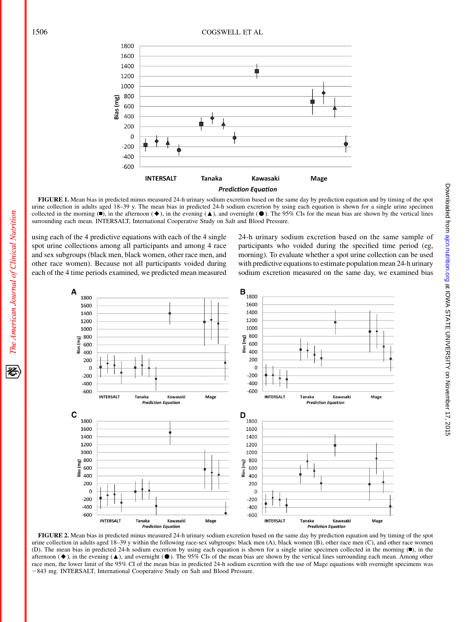

FIGURE 1. Mean bias in predicted minus measured 24-h urinary sodium excretion based on the same day by prediction equation and by timing of the spot urine collection in adults aged 18–39 y. The mean bias in predicted 24-h sodium excretion by using each equation is shown for a single urine specimen collected in the morning  $(\blacksquare)$ , in the afternoon  $(\blacklozenge)$ , in the evening  $(\blacktriangle)$ , and overnight  $(\blacksquare)$ . The 95% CIs for the mean bias are shown by the vertical lines surrounding each mean. INTERSALT, International Cooperative Study on Salt and Blood Pressure.

using each of the 4 predictive equations with each of the 4 single spot urine collections among all participants and among 4 race and sex subgroups (black men, black women, other race men, and other race women). Because not all participants voided during each of the 4 time periods examined, we predicted mean measured 24-h urinary sodium excretion based on the same sample of participants who voided during the specified time period (eg, morning). To evaluate whether a spot urine collection can be used with predictive equations to estimate population mean 24-h urinary sodium excretion measured on the same day, we examined bias



FIGURE 2. Mean bias in predicted minus measured 24-h urinary sodium excretion based on the same day by prediction equation and by timing of the spot urine collection in adults aged 18–39 y within the following race-sex subgroups: black men (A), black women (B), other race men (C), and other race women (D). The mean bias in predicted 24-h sodium excretion by using each equation is shown for a single urine specimen collected in the morning  $(\blacksquare)$ , in the afternoon  $(\blacklozenge)$ , in the evening  $(\blacktriangle)$ , and overnight ( $\blacklozenge$ ). The 95% CIs of the mean bias are shown by the vertical lines surrounding each mean. Among other race men, the lower limit of the 95% CI of the mean bias in predicted 24-h sodium excretion with the use of Mage equations with overnight specimens was -843 mg. INTERSALT, International Cooperative Study on Salt and Blood Pressure.

The American Journal of Clinical Nutrition

经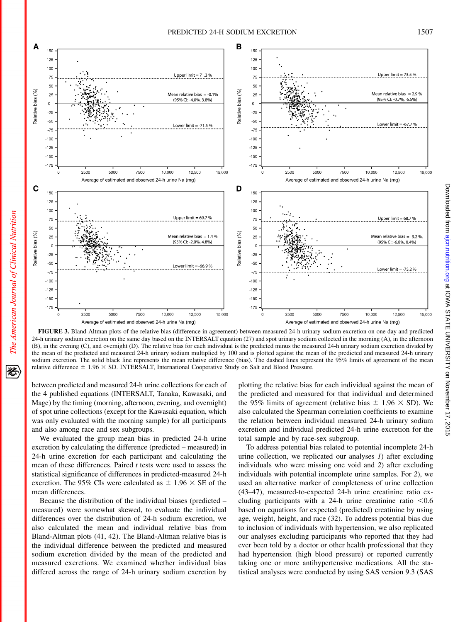

FIGURE 3. Bland-Altman plots of the relative bias (difference in agreement) between measured 24-h urinary sodium excretion on one day and predicted 24-h urinary sodium excretion on the same day based on the INTERSALT equation (27) and spot urinary sodium collected in the morning (A), in the afternoon (B), in the evening (C), and overnight (D). The relative bias for each individual is the predicted minus the measured 24-h urinary sodium excretion divided by the mean of the predicted and measured 24-h urinary sodium multiplied by 100 and is plotted against the mean of the predicted and measured 24-h urinary sodium excretion. The solid black line represents the mean relative difference (bias). The dashed lines represent the 95% limits of agreement of the mean relative difference  $\pm$  1.96  $\times$  SD. INTERSALT, International Cooperative Study on Salt and Blood Pressure.

between predicted and measured 24-h urine collections for each of the 4 published equations (INTERSALT, Tanaka, Kawasaki, and Mage) by the timing (morning, afternoon, evening, and overnight) of spot urine collections (except for the Kawasaki equation, which was only evaluated with the morning sample) for all participants and also among race and sex subgroups.

We evaluated the group mean bias in predicted 24-h urine excretion by calculating the difference (predicted – measured) in 24-h urine excretion for each participant and calculating the mean of these differences. Paired  $t$  tests were used to assess the statistical significance of differences in predicted-measured 24-h excretion. The 95% CIs were calculated as  $\pm$  1.96  $\times$  SE of the mean differences.

Because the distribution of the individual biases (predicted – measured) were somewhat skewed, to evaluate the individual differences over the distribution of 24-h sodium excretion, we also calculated the mean and individual relative bias from Bland-Altman plots (41, 42). The Bland-Altman relative bias is the individual difference between the predicted and measured sodium excretion divided by the mean of the predicted and measured excretions. We examined whether individual bias differed across the range of 24-h urinary sodium excretion by

plotting the relative bias for each individual against the mean of the predicted and measured for that individual and determined the 95% limits of agreement (relative bias  $\pm$  1.96  $\times$  SD). We also calculated the Spearman correlation coefficients to examine the relation between individual measured 24-h urinary sodium excretion and individual predicted 24-h urine excretion for the total sample and by race-sex subgroup.

To address potential bias related to potential incomplete 24-h urine collection, we replicated our analyses 1) after excluding individuals who were missing one void and 2) after excluding individuals with potential incomplete urine samples. For 2), we used an alternative marker of completeness of urine collection (43–47), measured-to-expected 24-h urine creatinine ratio excluding participants with a 24-h urine creatinine ratio  $< 0.6$ based on equations for expected (predicted) creatinine by using age, weight, height, and race (32). To address potential bias due to inclusion of individuals with hypertension, we also replicated our analyses excluding participants who reported that they had ever been told by a doctor or other health professional that they had hypertension (high blood pressure) or reported currently taking one or more antihypertensive medications. All the statistical analyses were conducted by using SAS version 9.3 (SAS Doward to I using unitation.org at IONA STATE DINIVERSITY on November 17, 2015

Downloaded from ajcn.nutrition.org at IOWA STATE UNIVERSITY on November 17, 2015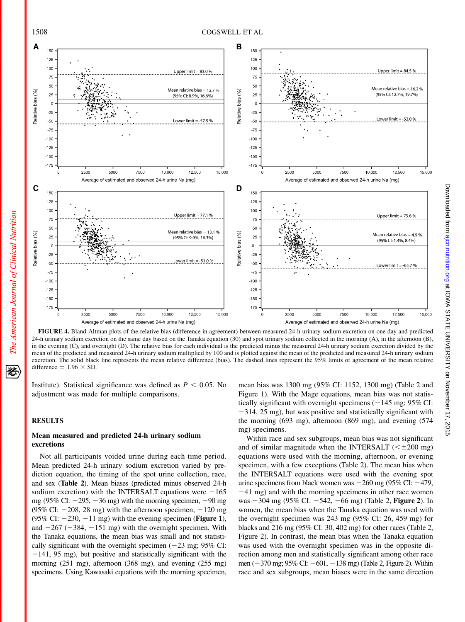

FIGURE 4. Bland-Altman plots of the relative bias (difference in agreement) between measured 24-h urinary sodium excretion on one day and predicted 24-h urinary sodium excretion on the same day based on the Tanaka equation (30) and spot urinary sodium collected in the morning (A), in the afternoon (B), in the evening (C), and overnight (D). The relative bias for each individual is the predicted minus the measured 24-h urinary sodium excretion divided by the mean of the predicted and measured 24-h urinary sodium multiplied by 100 and is plotted against the mean of the predicted and measured 24-h urinary sodium excretion. The solid black line represents the mean relative difference (bias). The dashed lines represent the 95% limits of agreement of the mean relative difference  $\pm$  1.96  $\times$  SD.

Institute). Statistical significance was defined as  $P < 0.05$ . No adjustment was made for multiple comparisons.

#### RESULTS

The American Journal of Clinical Nutrition

经

## Mean measured and predicted 24-h urinary sodium excretions

Not all participants voided urine during each time period. Mean predicted 24-h urinary sodium excretion varied by prediction equation, the timing of the spot urine collection, race, and sex (Table 2). Mean biases (predicted minus observed 24-h sodium excretion) with the INTERSALT equations were  $-165$ mg (95% CI:  $-295$ ,  $-36$  mg) with the morning specimen,  $-90$  mg (95% CI:  $-208$ , 28 mg) with the afternoon specimen,  $-120$  mg (95% CI:  $-230$ ,  $-11$  mg) with the evening specimen (**Figure 1**), and  $-267$  ( $-384$ ,  $-151$  mg) with the overnight specimen. With the Tanaka equations, the mean bias was small and not statistically significant with the overnight specimen  $(-23 \text{ mg}; 95\% \text{ CI:})$  $-141$ , 95 mg), but positive and statistically significant with the morning (251 mg), afternoon (368 mg), and evening (255 mg) specimens. Using Kawasaki equations with the morning specimen,

mean bias was 1300 mg (95% CI: 1152, 1300 mg) (Table 2 and Figure 1). With the Mage equations, mean bias was not statistically significant with overnight specimens  $(-145 \text{ mg}; 95\% \text{ CI:})$  $-314$ , 25 mg), but was positive and statistically significant with the morning (693 mg), afternoon (869 mg), and evening (574 mg) specimens.

Within race and sex subgroups, mean bias was not significant and of similar magnitude when the INTERSALT  $(<\pm 200$  mg) equations were used with the morning, afternoon, or evening specimen, with a few exceptions (Table 2). The mean bias when the INTERSALT equations were used with the evening spot urine specimens from black women was  $-260$  mg (95% CI:  $-479$ ,  $-41$  mg) and with the morning specimens in other race women was  $-304$  mg (95% CI:  $-542$ ,  $-66$  mg) (Table 2, Figure 2). In women, the mean bias when the Tanaka equation was used with the overnight specimen was 243 mg (95% CI: 26, 459 mg) for blacks and 216 mg (95% CI: 30, 402 mg) for other races (Table 2, Figure 2). In contrast, the mean bias when the Tanaka equation was used with the overnight specimen was in the opposite direction among men and statistically significant among other race men  $(-370 \text{ mg}; 95\% \text{ CI}$ :  $-601, -138 \text{ mg})$  (Table 2, Figure 2). Within race and sex subgroups, mean biases were in the same direction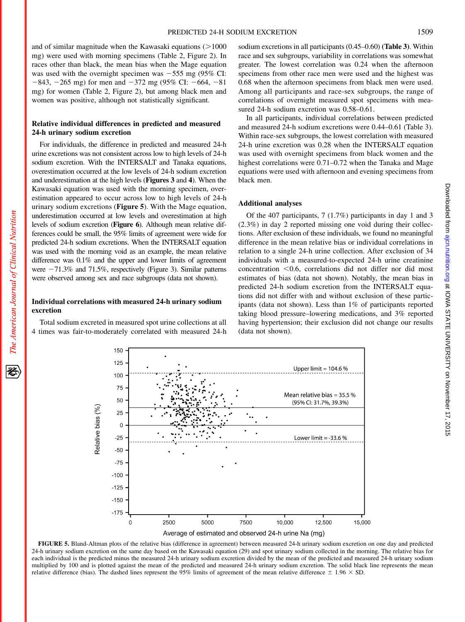and of similar magnitude when the Kawasaki equations  $(>1000$ mg) were used with morning specimens (Table 2, Figure 2). In races other than black, the mean bias when the Mage equation was used with the overnight specimen was  $-555$  mg (95% CI:  $-843$ ,  $-265$  mg) for men and  $-372$  mg (95% CI:  $-664$ ,  $-81$ mg) for women (Table 2, Figure 2), but among black men and women was positive, although not statistically significant.

#### Relative individual differences in predicted and measured 24-h urinary sodium excretion

For individuals, the difference in predicted and measured 24-h urine excretions was not consistent across low to high levels of 24-h sodium excretion. With the INTERSALT and Tanaka equations, overestimation occurred at the low levels of 24-h sodium excretion and underestimation at the high levels (Figures 3 and 4). When the Kawasaki equation was used with the morning specimen, overestimation appeared to occur across low to high levels of 24-h urinary sodium excretions (Figure 5). With the Mage equation, underestimation occurred at low levels and overestimation at high levels of sodium excretion (Figure 6). Although mean relative differences could be small, the 95% limits of agreement were wide for predicted 24-h sodium excretions. When the INTERSALT equation was used with the morning void as an example, the mean relative difference was 0.1% and the upper and lower limits of agreement were  $-71.3\%$  and  $71.5\%$ , respectively (Figure 3). Similar patterns were observed among sex and race subgroups (data not shown).

## Individual correlations with measured 24-h urinary sodium excretion

Total sodium excreted in measured spot urine collections at all 4 times was fair-to-moderately correlated with measured 24-h sodium excretions in all participants (0.45–0.60) (Table 3). Within race and sex subgroups, variability in correlations was somewhat greater. The lowest correlation was 0.24 when the afternoon specimens from other race men were used and the highest was 0.68 when the afternoon specimens from black men were used. Among all participants and race-sex subgroups, the range of correlations of overnight measured spot specimens with measured 24-h sodium excretion was 0.58–0.61.

In all participants, individual correlations between predicted and measured 24-h sodium excretions were 0.44–0.61 (Table 3). Within race-sex subgroups, the lowest correlation with measured 24-h urine excretion was 0.28 when the INTERSALT equation was used with overnight specimens from black women and the highest correlations were 0.71–0.72 when the Tanaka and Mage equations were used with afternoon and evening specimens from black men.

## Additional analyses

Of the 407 participants, 7 (1.7%) participants in day 1 and 3 (2.3%) in day 2 reported missing one void during their collections. After exclusion of these individuals, we found no meaningful difference in the mean relative bias or individual correlations in relation to a single 24-h urine collection. After exclusion of 34 individuals with a measured-to-expected 24-h urine creatinine concentration  $< 0.6$ , correlations did not differ nor did most estimates of bias (data not shown). Notably, the mean bias in predicted 24-h sodium excretion from the INTERSALT equations did not differ with and without exclusion of these participants (data not shown). Less than 1% of participants reported taking blood pressure–lowering medications, and 3% reported having hypertension; their exclusion did not change our results (data not shown).

150 125 Upper limit =  $104.6%$ 100 75 Mean relative bias =  $35.5%$ 50 (95% Cl: 31.7%, 39.3%) Relative bias (%) 25  $\Omega$  $-25$ Lower limit  $=$  -33.6 %  $-50$  $-75$  $-100$  $-125$  $-150$  $-175$ 2500 5000 7500 10,000 12,500 15,000  $\overline{0}$ 

Average of estimated and observed 24-h urine Na (mg)

FIGURE 5. Bland-Altman plots of the relative bias (difference in agreement) between measured 24-h urinary sodium excretion on one day and predicted 24-h urinary sodium excretion on the same day based on the Kawasaki equation (29) and spot urinary sodium collected in the morning. The relative bias for each individual is the predicted minus the measured 24-h urinary sodium excretion divided by the mean of the predicted and measured 24-h urinary sodium multiplied by 100 and is plotted against the mean of the predicted and measured 24-h urinary sodium excretion. The solid black line represents the mean relative difference (bias). The dashed lines represent the 95% limits of agreement of the mean relative difference  $\pm$  1.96  $\times$  SD.

豾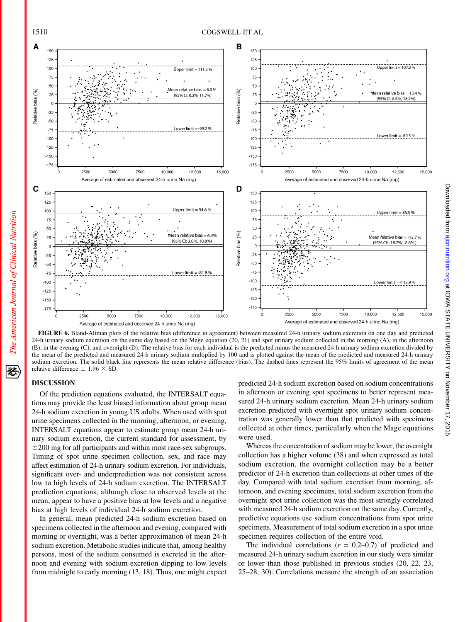

Doward to I using unitation.org at IONA STATE DINIVERSITY on November 17, 2015

Downloaded from ajcn.nutrition.org at IOWA STATE UNIVERSITY on November 17, 2015

FIGURE 6. Bland-Altman plots of the relative bias (difference in agreement) between measured 24-h urinary sodium excretion on one day and predicted 24-h urinary sodium excretion on the same day based on the Mage equation (20, 21) and spot urinary sodium collected in the morning (A), in the afternoon (B), in the evening (C), and overnight (D). The relative bias for each individual is the predicted minus the measured 24-h urinary sodium excretion divided by the mean of the predicted and measured 24-h urinary sodium multiplied by 100 and is plotted against the mean of the predicted and measured 24-h urinary sodium excretion. The solid black line represents the mean relative difference (bias). The dashed lines represent the 95% limits of agreement of the mean relative difference  $\pm$  1.96  $\times$  SD.

## DISCUSSION

Of the prediction equations evaluated, the INTERSALT equations may provide the least biased information about group mean 24-h sodium excretion in young US adults. When used with spot urine specimens collected in the morning, afternoon, or evening, INTERSALT equations appear to estimate group mean 24-h urinary sodium excretion, the current standard for assessment, by  $\pm$ 200 mg for all participants and within most race-sex subgroups. Timing of spot urine specimen collection, sex, and race may affect estimation of 24-h urinary sodium excretion. For individuals, significant over- and underprediction was not consistent across low to high levels of 24-h sodium excretion. The INTERSALT prediction equations, although close to observed levels at the mean, appear to have a positive bias at low levels and a negative bias at high levels of individual 24-h sodium excretion.

In general, mean predicted 24-h sodium excretion based on specimens collected in the afternoon and evening, compared with morning or overnight, was a better approximation of mean 24-h sodium excretion. Metabolic studies indicate that, among healthy persons, most of the sodium consumed is excreted in the afternoon and evening with sodium excretion dipping to low levels from midnight to early morning (13, 18). Thus, one might expect predicted 24-h sodium excretion based on sodium concentrations in afternoon or evening spot specimens to better represent measured 24-h urinary sodium excretion. Mean 24-h urinary sodium excretion predicted with overnight spot urinary sodium concentration was generally lower than that predicted with specimens collected at other times, particularly when the Mage equations were used.

Whereas the concentration of sodium may be lower, the overnight collection has a higher volume (38) and when expressed as total sodium excretion, the overnight collection may be a better predictor of 24-h excretion than collections at other times of the day. Compared with total sodium excretion from morning, afternoon, and evening specimens, total sodium excretion from the overnight spot urine collection was the most strongly correlated with measured 24-h sodium excretion on the same day. Currently, predictive equations use sodium concentrations from spot urine specimens. Measurement of total sodium excretion in a spot urine specimen requires collection of the entire void.

The individual correlations  $(r = 0.2{\text -}0.7)$  of predicted and measured 24-h urinary sodium excretion in our study were similar or lower than those published in previous studies (20, 22, 23, 25–28, 30). Correlations measure the strength of an association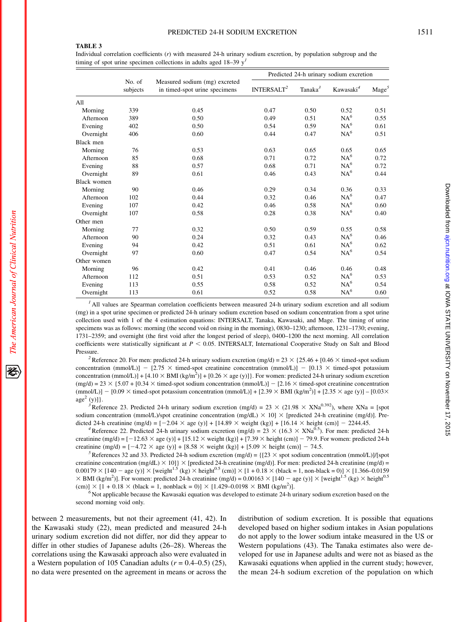Individual correlation coefficients (r) with measured 24-h urinary sodium excretion, by population subgroup and the timing of spot urine specimen collections in adults aged  $18-39$  y<sup>1</sup>

|                    |                    |                                                                | Predicted 24-h urinary sodium excretion |                     |                       |                 |
|--------------------|--------------------|----------------------------------------------------------------|-----------------------------------------|---------------------|-----------------------|-----------------|
|                    | No. of<br>subjects | Measured sodium (mg) excreted<br>in timed-spot urine specimens | INTERSALT <sup>2</sup>                  | Tanaka <sup>3</sup> | Kawasaki <sup>4</sup> | $\text{Mage}^5$ |
| All                |                    |                                                                |                                         |                     |                       |                 |
| Morning            | 339                | 0.45                                                           | 0.47                                    | 0.50                | 0.52                  | 0.51            |
| Afternoon          | 389                | 0.50                                                           | 0.49                                    | 0.51                | $NA^6$                | 0.55            |
| Evening            | 402                | 0.50                                                           | 0.54                                    | 0.59                | $NA^6$                | 0.61            |
| Overnight          | 406                | 0.60                                                           | 0.44                                    | 0.47                | $NA^6$                | 0.51            |
| Black men          |                    |                                                                |                                         |                     |                       |                 |
| Morning            | 76                 | 0.53                                                           | 0.63                                    | 0.65                | 0.65                  | 0.65            |
| Afternoon          | 85                 | 0.68                                                           | 0.71                                    | 0.72                | $NA^6$                | 0.72            |
| Evening            | 88                 | 0.57                                                           | 0.68                                    | 0.71                | $NA^6$                | 0.72            |
| Overnight          | 89                 | 0.61                                                           | 0.46                                    | 0.43                | $NA^6$                | 0.44            |
| <b>Black women</b> |                    |                                                                |                                         |                     |                       |                 |
| Morning            | 90                 | 0.46                                                           | 0.29                                    | 0.34                | 0.36                  | 0.33            |
| Afternoon          | 102                | 0.44                                                           | 0.32                                    | 0.46                | $NA^6$                | 0.47            |
| Evening            | 107                | 0.42                                                           | 0.46                                    | 0.58                | $NA^6$                | 0.60            |
| Overnight          | 107                | 0.58                                                           | 0.28                                    | 0.38                | $NA^6$                | 0.40            |
| Other men          |                    |                                                                |                                         |                     |                       |                 |
| Morning            | 77                 | 0.32                                                           | 0.50                                    | 0.59                | 0.55                  | 0.58            |
| Afternoon          | 90                 | 0.24                                                           | 0.32                                    | 0.43                | $NA^6$                | 0.46            |
| Evening            | 94                 | 0.42                                                           | 0.51                                    | 0.61                | $NA^6$                | 0.62            |
| Overnight          | 97                 | 0.60                                                           | 0.47                                    | 0.54                | $NA^6$                | 0.54            |
| Other women        |                    |                                                                |                                         |                     |                       |                 |
| Morning            | 96                 | 0.42                                                           | 0.41                                    | 0.46                | 0.46                  | 0.48            |
| Afternoon          | 112                | 0.51                                                           | 0.53                                    | 0.52                | $NA^6$                | 0.53            |
| Evening            | 113                | 0.55                                                           | 0.58                                    | 0.52                | $NA^6$                | 0.54            |
| Overnight          | 113                | 0.61                                                           | 0.52                                    | 0.58                | $NA^6$                | 0.60            |

 $<sup>1</sup>$  All values are Spearman correlation coefficients between measured 24-h urinary sodium excretion and all sodium</sup> (mg) in a spot urine specimen or predicted 24-h urinary sodium excretion based on sodium concentration from a spot urine collection used with 1 of the 4 estimation equations: INTERSALT, Tanaka, Kawasaki, and Mage. The timing of urine specimens was as follows: morning (the second void on rising in the morning), 0830–1230; afternoon, 1231–1730; evening, 1731–2359; and overnight (the first void after the longest period of sleep), 0400–1200 the next morning. All correlation coefficients were statistically significant at  $P < 0.05$ . INTERSALT, International Cooperative Study on Salt and Blood

Pressure.<br><sup>2</sup>Reference 20. For men: predicted 24-h urinary sodium excretion (mg/d) =  $23 \times \{25.46 + [0.46 \times \text{timed-spot sodium}]\}$ concentration (mmol/L)] -  $[2.75 \times$  timed-spot creatinine concentration (mmol/L)] -  $[0.13 \times$  timed-spot potassium concentration (mmol/L)] + [4.10  $\times$  BMI (kg/m<sup>2</sup>)] + [0.26  $\times$  age (y)]}. For women: predicted 24-h urinary sodium excretion  $(mgd) = 23 \times \{5.07 + [0.34 \times \text{timed-spot sodium concentration } (mmol/L)] - [2.16 \times \text{timed-spot creation concentration } ]\}$  $(\text{mmol/L})$ ] – [0.09  $\times$  timed-spot potassium concentration  $(\text{mmol/L})$ ] + [2.39  $\times$  BMI (kg/m<sup>2</sup>)] + [2.35  $\times$  age (y)] – [0.03 $\times$ age<sup>2</sup> (y)] $\}$ .

<sup>3</sup>Reference 23. Predicted 24-h urinary sodium excretion (mg/d) = 23  $\times$  (21.98  $\times$  XNa<sup>0.392</sup>), where XNa = [spot sodium concentration (mmol/L)/spot creatinine concentration (mg/dL)  $\times$  10]  $\times$  [predicted 24-h creatinine (mg/d)]. Predicted 24-h creatinine (mg/d) =  $[-2.04 \times \text{age (y)}] + [14.89 \times \text{weight (kg)}] + [16.14 \times \text{height (cm)}] - 2244.45$ .<br>
<sup>4</sup> Reference 22. Predicted 24-h urinary sodium excretion (mg/d) = 23  $\times$  (16.3  $\times$  XNa<sup>0.5</sup>). For men: predicted 24-h

creatinine  $(mg/d) = [-12.63 \times age (y)] + [15.12 \times weight (kg)] + [7.39 \times height (cm)] - 79.9$ . For women: predicted 24-h creatinine (mg/d) =  $[-4.72 \times \text{age (y)}] + [8.58 \times \text{weight (kg)}] + [5.09 \times \text{height (cm)}] - 74.5$ .<br><sup>5</sup>References 32 and 33. Predicted 24-h sodium excretion (mg/d) = { $[23 \times \text{spot sodium concentration (mmol/L)}]/[\text{spot}$ 

creatinine concentration (mg/dL)  $\times$  10]}  $\times$  [predicted 24-h creatinine (mg/d)]. For men: predicted 24-h creatinine (mg/d) =  $0.00179 \times [140 - \text{age (y)}] \times [\text{weight}^{1.5} (\text{kg}) \times \text{height}^{0.5} (\text{cm})] \times [1 + 0.18 \times (\text{black} = 1, \text{non-black} = 0)] \times [1.366 - 0.0159]$  $\times$  BMI (kg/m<sup>2</sup>)]. For women: predicted 24-h creatinine (mg/d) = 0.00163  $\times$  [140 – age (y)]  $\times$  [weight<sup>1.5</sup> (kg)  $\times$  height<sup>0.5</sup> (cm)]  $\times$  [1 + 0.18  $\times$  (black = 1, nonblack = 0)]  $\times$  [1.429–0.0198  $\times$  BMI (kg/m<sup>2</sup>)].

 $\delta$  Not applicable because the Kawasaki equation was developed to estimate 24-h urinary sodium excretion based on the second morning void only.

between 2 measurements, but not their agreement (41, 42). In the Kawasaki study (22), mean predicted and measured 24-h urinary sodium excretion did not differ, nor did they appear to differ in other studies of Japanese adults (26–28). Whereas the correlations using the Kawasaki approach also were evaluated in a Western population of 105 Canadian adults ( $r = 0.4{\text{-}}0.5$ ) (25), no data were presented on the agreement in means or across the

distribution of sodium excretion. It is possible that equations developed based on higher sodium intakes in Asian populations do not apply to the lower sodium intake measured in the US or Western populations (43). The Tanaka estimates also were developed for use in Japanese adults and were not as biased as the Kawasaki equations when applied in the current study; however, the mean 24-h sodium excretion of the population on which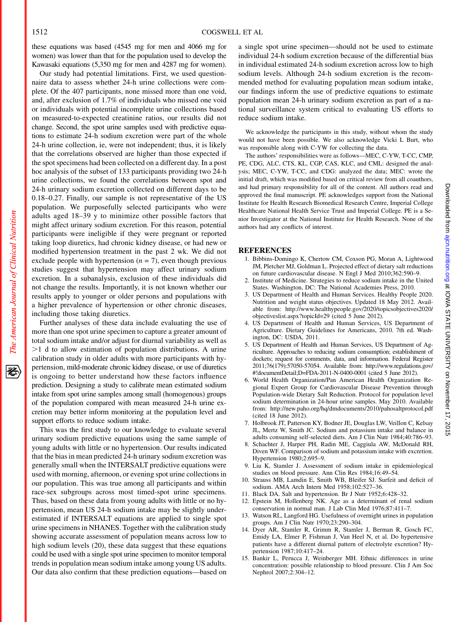The American Journal of Clinical Nutrition

犵

these equations was based (4545 mg for men and 4066 mg for women) was lower than that for the population used to develop the Kawasaki equations (5,350 mg for men and 4287 mg for women).

Our study had potential limitations. First, we used questionnaire data to assess whether 24-h urine collections were complete. Of the 407 participants, none missed more than one void, and, after exclusion of 1.7% of individuals who missed one void or individuals with potential incomplete urine collections based on measured-to-expected creatinine ratios, our results did not change. Second, the spot urine samples used with predictive equations to estimate 24-h sodium excretion were part of the whole 24-h urine collection, ie, were not independent; thus, it is likely that the correlations observed are higher than those expected if the spot specimens had been collected on a different day. In a post hoc analysis of the subset of 133 participants providing two 24-h urine collections, we found the correlations between spot and 24-h urinary sodium excretion collected on different days to be 0.18–0.27. Finally, our sample is not representative of the US population. We purposefully selected participants who were adults aged 18–39 y to minimize other possible factors that might affect urinary sodium excretion. For this reason, potential participants were ineligible if they were pregnant or reported taking loop diuretics, had chronic kidney disease, or had new or modified hypertension treatment in the past 2 wk. We did not exclude people with hypertension  $(n = 7)$ , even though previous studies suggest that hypertension may affect urinary sodium excretion. In a subanalysis, exclusion of these individuals did not change the results. Importantly, it is not known whether our results apply to younger or older persons and populations with a higher prevalence of hypertension or other chronic diseases, including those taking diuretics.

Further analyses of these data include evaluating the use of more than one spot urine specimen to capture a greater amount of total sodium intake and/or adjust for diurnal variability as well as  $>1$  d to allow estimation of population distributions. A urine calibration study in older adults with more participants with hypertension, mild-moderate chronic kidney disease, or use of diuretics is ongoing to better understand how these factors influence prediction. Designing a study to calibrate mean estimated sodium intake from spot urine samples among small (homogenous) groups of the population compared with mean measured 24-h urine excretion may better inform monitoring at the population level and support efforts to reduce sodium intake.

This was the first study to our knowledge to evaluate several urinary sodium predictive equations using the same sample of young adults with little or no hypertension. Our results indicated that the bias in mean predicted 24-h urinary sodium excretion was generally small when the INTERSALT predictive equations were used with morning, afternoon, or evening spot urine collections in our population. This was true among all participants and within race-sex subgroups across most timed-spot urine specimens. Thus, based on these data from young adults with little or no hypertension, mean US 24-h sodium intake may be slightly underestimated if INTERSALT equations are applied to single spot urine specimens in NHANES. Together with the calibration study showing accurate assessment of population means across low to high sodium levels (20), these data suggest that these equations could be used with a single spot urine specimen to monitor temporal trends in population mean sodium intake among young US adults. Our data also confirm that these prediction equations—based on a single spot urine specimen—should not be used to estimate individual 24-h sodium excretion because of the differential bias in individual estimated 24-h sodium excretion across low to high sodium levels. Although 24-h sodium excretion is the recommended method for evaluating population mean sodium intake, our findings inform the use of predictive equations to estimate population mean 24-h urinary sodium excretion as part of a national surveillance system critical to evaluating US efforts to reduce sodium intake.

We acknowledge the participants in this study, without whom the study would not have been possible. We also acknowledge Vicki L Burt, who was responsible along with C-YW for collecting the data.

The authors' responsibilities were as follows—MEC, C-YW, T-CC, CMP, PE, CDG, ALC, CTS, KL, CGP, CAS, KLC, and CML: designed the analysis; MEC, C-YW, T-CC, and CDG: analyzed the data; MEC: wrote the initial draft, which was modified based on critical review from all coauthors, and had primary responsibility for all of the content. All authors read and approved the final manuscript. PE acknowledges support from the National Institute for Health Research Biomedical Research Centre, Imperial College Healthcare National Health Service Trust and Imperial College. PE is a Senior Investigator at the National Institute for Health Research. None of the authors had any conflicts of interest.

#### **REFERENCES**

- 1. Bibbins-Domingo K, Chertow CM, Coxson PG, Moran A, Lightwood JM, Pletcher MJ, Goldman L. Projected effect of dietary salt reductions on future cardiovascular disease. N Engl J Med 2010;362:590–9.
- 2. Institute of Medicine. Strategies to reduce sodium intake in the United States. Washington, DC: The National Academies Press, 2010.
- 3. US Department of Health and Human Services. Healthy People 2020. Nutrition and weight status objectives. Updated 18 May 2012. Available from: http://www.healthypeople.gov/2020/topicsobjectives2020/ objectiveslist.aspx?topicId=29 (cited 5 June 2012).
- 4. US Department of Health and Human Services, US Department of Agriculture. Dietary Guidelines for Americans, 2010. 7th ed. Washington, DC: USDA, 2011.
- 5. US Department of Health and Human Services, US Department of Agriculture. Approaches to reducing sodium consumption; establishment of dockets; request for comments, data, and information. Federal Register 2011;76(179):57050-57054. Available from: http://www.regulations.gov/ #!documentDetail;D=FDA-2011-N-0400-0001 (cited 5 June 2012).
- 6. World Health Organization/Pan American Health Organization Regional Expert Group for Cardiovascular Disease Prevention through Population-wide Dietary Salt Reduction. Protocol for population level sodium determination in 24-hour urine samples. May 2010. Available from: http://new.paho.org/hq/dmdocuments/2010/pahosaltprotocol.pdf (cited 18 June 2012).
- 7. Holbrook JT, Patterson KY, Bodner JE, Douglas LW, Veillon C, Kelsay JL, Mertz W, Smith JC. Sodium and potassium intake and balance in adults consuming self-selected diets. Am J Clin Nutr 1984;40:786–93.
- 8. Schachter J, Harper PH, Radin ME, Caggiula AW, McDonald RH, Diven WF. Comparison of sodium and potassium intake with excretion. Hypertension 1980;2:695–9.
- 9. Liu K, Stamler J. Assessment of sodium intake in epidemiological studies on blood pressure. Ann Clin Res 1984;16:49–54.
- 10. Strauss MB, Lamdin E, Smith WB, Bleifer SJ. Surfeit and deficit of sodium. AMA Arch Intern Med 1958;102:527–36.
- 11. Black DA. Salt and hypertension. Br J Nutr 1952;6:428–32.
- 12. Epstein M, Hollenberg NK. Age as a determinant of renal sodium conservation in normal man. J Lab Clin Med 1976;87:411–7.
- 13. Watson RL, Langford HG. Usefulness of overnight urines in population groups. Am J Clin Nutr 1970;23:290–304.
- 14. Dyer AR, Stamler R, Grimm R, Stamler J, Berman R, Gosch FC, Emidy LA, Elmer P, Fishman J, Van Heel N, et al. Do hypertensive patients have a different diurnal pattern of electrolyte excretion? Hypertension 1987;10:417–24.
- 15. Bankir L, Perucca J, Weinberger MH. Ethnic differences in urine concentration: possible relationship to blood pressure. Clin J Am Soc Nephrol 2007;2:304–12.